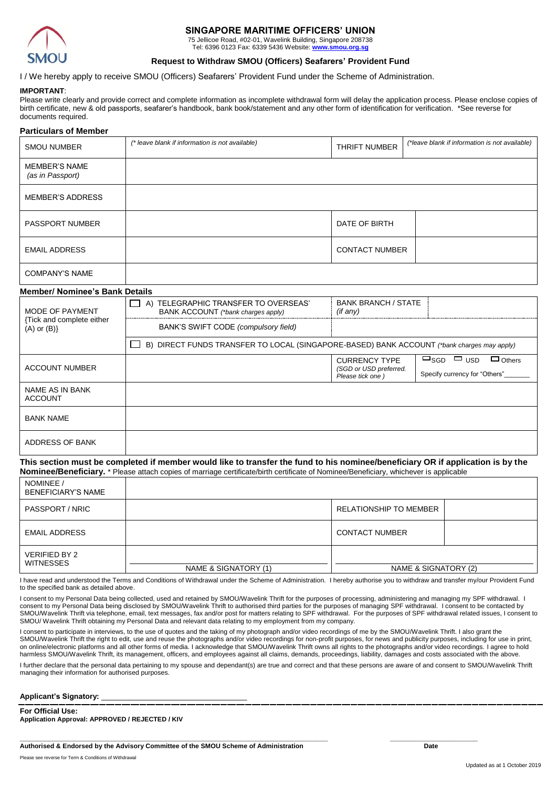

## **SINGAPORE MARITIME OFFICERS' UNION**

75 Jellicoe Road, #02-01, Wavelink Building, Singapore 208738 Tel: 6396 0123 Fax: 6339 5436 Website: **[www.smou.org.sg](http://www.smou.org.sg/)**

#### **Request to Withdraw SMOU (Officers) Seafarers' Provident Fund**

#### I / We hereby apply to receive SMOU (Officers) Seafarers' Provident Fund under the Scheme of Administration.

#### **IMPORTANT**:

Please write clearly and provide correct and complete information as incomplete withdrawal form will delay the application process. Please enclose copies of birth certificate, new & old passports, seafarer's handbook, bank book/statement and any other form of identification for verification. \*See reverse for documents required.

# **Particulars of Member** SMOU NUMBER *(\* leave blank if information is not available)* THRIFT NUMBER *(\*leave blank if information is not available)* MEMBER'S NAME *(as in Passport)* MEMBER'S ADDRESS PASSPORT NUMBER **DATE OF BIRTH** EMAIL ADDRESS CONTACT NUMBER COMPANY'S NAME

#### **Member/ Nominee's Bank Details**

| MODE OF PAYMENT<br>{Tick and complete either<br>$(A)$ or $(B)$ } | A) TELEGRAPHIC TRANSFER TO OVERSEAS'<br>BANK ACCOUNT (*bank charges apply)                 | <b>BANK BRANCH / STATE</b><br>(if any)                             |                                                                                    |  |
|------------------------------------------------------------------|--------------------------------------------------------------------------------------------|--------------------------------------------------------------------|------------------------------------------------------------------------------------|--|
|                                                                  | BANK'S SWIFT CODE (compulsory field)                                                       |                                                                    |                                                                                    |  |
|                                                                  | B) DIRECT FUNDS TRANSFER TO LOCAL (SINGAPORE-BASED) BANK ACCOUNT (*bank charges may apply) |                                                                    |                                                                                    |  |
| <b>ACCOUNT NUMBER</b>                                            |                                                                                            | <b>CURRENCY TYPE</b><br>(SGD or USD preferred.<br>Please tick one) | $\square$ SGD $\square$ USD<br>$\Box$ Others<br>Specify currency for "Others" ____ |  |
| NAME AS IN BANK<br><b>ACCOUNT</b>                                |                                                                                            |                                                                    |                                                                                    |  |
| <b>BANK NAME</b>                                                 |                                                                                            |                                                                    |                                                                                    |  |
| ADDRESS OF BANK                                                  |                                                                                            |                                                                    |                                                                                    |  |

**This section must be completed if member would like to transfer the fund to his nominee/beneficiary OR if application is by the Nominee/Beneficiary.** \* Please attach copies of marriage certificate/birth certificate of Nominee/Beneficiary, whichever is applicable

| NOMINEE /<br><b>BENEFICIARY'S NAME</b> |                      |                        |  |
|----------------------------------------|----------------------|------------------------|--|
| PASSPORT / NRIC                        |                      | RELATIONSHIP TO MEMBER |  |
| <b>EMAIL ADDRESS</b>                   |                      | <b>CONTACT NUMBER</b>  |  |
| VERIFIED BY 2<br><b>WITNESSES</b>      | NAME & SIGNATORY (1) | NAME & SIGNATORY (2)   |  |

I have read and understood the Terms and Conditions of Withdrawal under the Scheme of Administration. I hereby authorise you to withdraw and transfer my/our Provident Fund to the specified bank as detailed above.

I consent to my Personal Data being collected, used and retained by SMOU/Wavelink Thrift for the purposes of processing, administering and managing my SPF withdrawal. I consent to my Personal Data being disclosed by SMOU/Wavelink Thrift to authorised third parties for the purposes of managing SPF withdrawal. I consent to be contacted by SMOU/Wavelink Thrift via telephone, email, text messages, fax and/or post for matters relating to SPF withdrawal. For the purposes of SPF withdrawal related issues, I consent to SMOU/ Wavelink Thrift obtaining my Personal Data and relevant data relating to my employment from my company.

I consent to participate in interviews, to the use of quotes and the taking of my photograph and/or video recordings of me by the SMOU/Wavelink Thrift. I also grant the SMOU/Wavelink Thrift the right to edit, use and reuse the photographs and/or video recordings for non-profit purposes, for news and publicity purposes, including for use in print, on online/electronic platforms and all other forms of media. I acknowledge that SMOU/Wavelink Thrift owns all rights to the photographs and/or video recordings. I agree to hold harmless SMOU/Wavelink Thrift, its management, officers, and employees against all claims, demands, proceedings, liability, damages and costs associated with the above.

I further declare that the personal data pertaining to my spouse and dependant(s) are true and correct and that these persons are aware of and consent to SMOU/Wavelink Thrift managing their information for authorised purposes.

#### Applicant's Signatory:

**For Official Use: Application Approval: APPROVED / REJECTED / KIV**

**\_\_\_\_\_\_\_\_\_\_\_\_\_\_\_\_\_\_\_\_\_\_\_\_\_\_\_\_\_\_\_\_\_\_\_\_\_\_\_\_\_\_\_\_\_\_\_\_\_\_\_\_\_\_\_\_\_\_\_\_\_\_\_\_\_\_\_\_\_\_\_\_\_\_ \_\_\_\_\_\_\_\_\_\_\_\_\_\_\_\_\_\_\_\_\_ Authorised & Endorsed by the Advisory Committee of the SMOU Scheme of Administration Date**